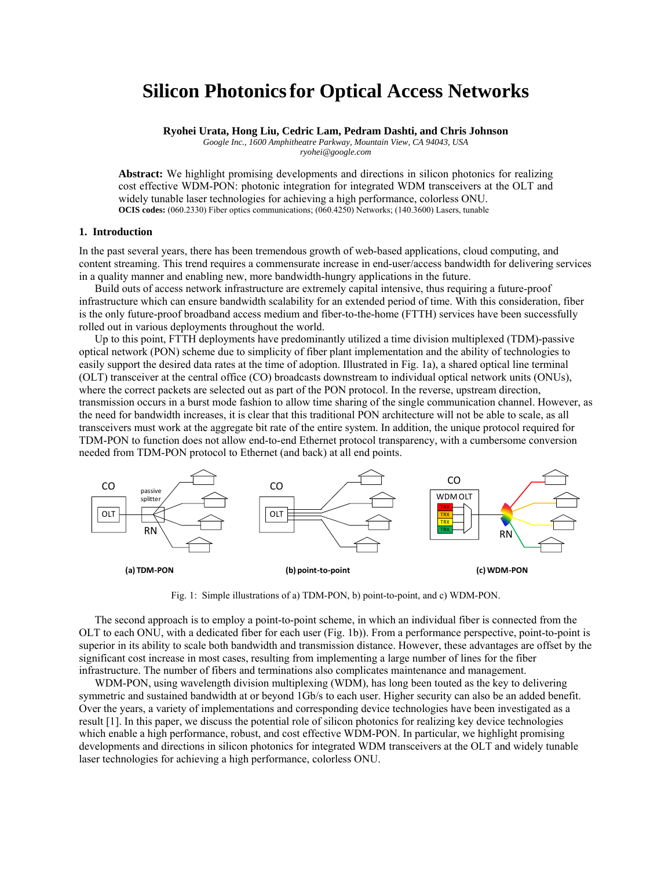# **Silicon Photonicsfor Optical Access Networks**

**Ryohei Urata, Hong Liu, Cedric Lam, Pedram Dashti, and Chris Johnson** 

*Google Inc., 1600 Amphitheatre Parkway, Mountain View, CA 94043, USA* 

*ryohei@google.com* 

**Abstract:** We highlight promising developments and directions in silicon photonics for realizing cost effective WDM-PON: photonic integration for integrated WDM transceivers at the OLT and widely tunable laser technologies for achieving a high performance, colorless ONU. **OCIS codes:** (060.2330) Fiber optics communications; (060.4250) Networks; (140.3600) Lasers, tunable

### **1. Introduction**

In the past several years, there has been tremendous growth of web-based applications, cloud computing, and content streaming. This trend requires a commensurate increase in end-user/access bandwidth for delivering services in a quality manner and enabling new, more bandwidth-hungry applications in the future.

Build outs of access network infrastructure are extremely capital intensive, thus requiring a future-proof infrastructure which can ensure bandwidth scalability for an extended period of time. With this consideration, fiber is the only future-proof broadband access medium and fiber-to-the-home (FTTH) services have been successfully rolled out in various deployments throughout the world.

Up to this point, FTTH deployments have predominantly utilized a time division multiplexed (TDM)-passive optical network (PON) scheme due to simplicity of fiber plant implementation and the ability of technologies to easily support the desired data rates at the time of adoption. Illustrated in Fig. 1a), a shared optical line terminal (OLT) transceiver at the central office (CO) broadcasts downstream to individual optical network units (ONUs), where the correct packets are selected out as part of the PON protocol. In the reverse, upstream direction, transmission occurs in a burst mode fashion to allow time sharing of the single communication channel. However, as the need for bandwidth increases, it is clear that this traditional PON architecture will not be able to scale, as all transceivers must work at the aggregate bit rate of the entire system. In addition, the unique protocol required for TDM-PON to function does not allow end-to-end Ethernet protocol transparency, with a cumbersome conversion needed from TDM-PON protocol to Ethernet (and back) at all end points.



Fig. 1: Simple illustrations of a) TDM-PON, b) point-to-point, and c) WDM-PON.

The second approach is to employ a point-to-point scheme, in which an individual fiber is connected from the OLT to each ONU, with a dedicated fiber for each user (Fig. 1b)). From a performance perspective, point-to-point is superior in its ability to scale both bandwidth and transmission distance. However, these advantages are offset by the significant cost increase in most cases, resulting from implementing a large number of lines for the fiber infrastructure. The number of fibers and terminations also complicates maintenance and management.

WDM-PON, using wavelength division multiplexing (WDM), has long been touted as the key to delivering symmetric and sustained bandwidth at or beyond  $1Gb/s$  to each user. Higher security can also be an added benefit. Over the years, a variety of implementations and corresponding device technologies have been investigated as a result [1]. In this paper, we discuss the potential role of silicon photonics for realizing key device technologies which enable a high performance, robust, and cost effective WDM-PON. In particular, we highlight promising developments and directions in silicon photonics for integrated WDM transceivers at the OLT and widely tunable laser technologies for achieving a high performance, colorless ONU.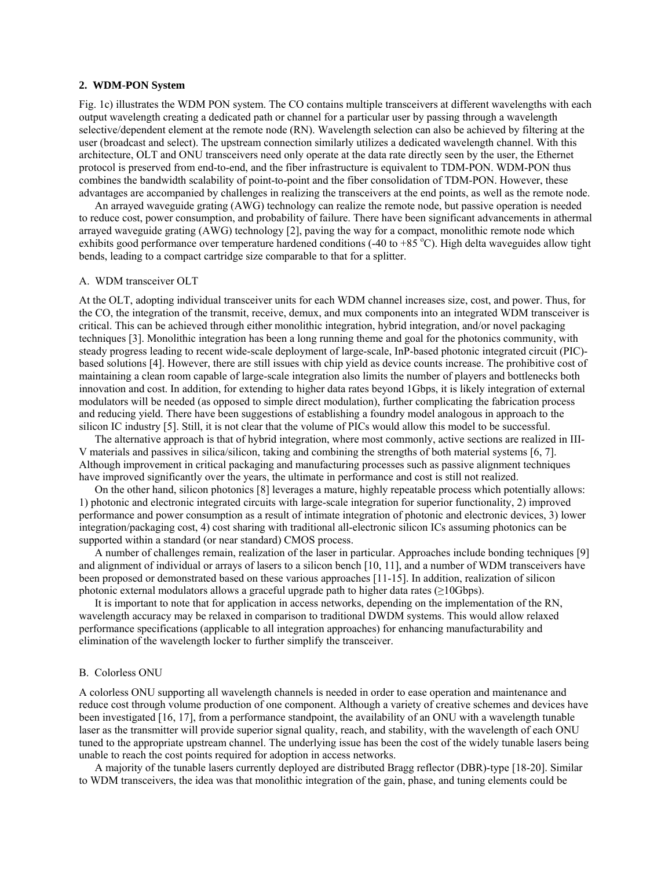# **2. WDM-PON System**

Fig. 1c) illustrates the WDM PON system. The CO contains multiple transceivers at different wavelengths with each output wavelength creating a dedicated path or channel for a particular user by passing through a wavelength selective/dependent element at the remote node (RN). Wavelength selection can also be achieved by filtering at the user (broadcast and select). The upstream connection similarly utilizes a dedicated wavelength channel. With this architecture, OLT and ONU transceivers need only operate at the data rate directly seen by the user, the Ethernet protocol is preserved from end-to-end, and the fiber infrastructure is equivalent to TDM-PON. WDM-PON thus combines the bandwidth scalability of point-to-point and the fiber consolidation of TDM-PON. However, these advantages are accompanied by challenges in realizing the transceivers at the end points, as well as the remote node.

An arrayed waveguide grating (AWG) technology can realize the remote node, but passive operation is needed to reduce cost, power consumption, and probability of failure. There have been significant advancements in athermal arrayed waveguide grating (AWG) technology [2], paving the way for a compact, monolithic remote node which exhibits good performance over temperature hardened conditions  $(-40 \text{ to } +85 \degree \text{C})$ . High delta waveguides allow tight bends, leading to a compact cartridge size comparable to that for a splitter.

### A. WDM transceiver OLT

At the OLT, adopting individual transceiver units for each WDM channel increases size, cost, and power. Thus, for the CO, the integration of the transmit, receive, demux, and mux components into an integrated WDM transceiver is critical. This can be achieved through either monolithic integration, hybrid integration, and/or novel packaging techniques [3]. Monolithic integration has been a long running theme and goal for the photonics community, with steady progress leading to recent wide-scale deployment of large-scale, InP-based photonic integrated circuit (PIC) based solutions [4]. However, there are still issues with chip yield as device counts increase. The prohibitive cost of maintaining a clean room capable of large-scale integration also limits the number of players and bottlenecks both innovation and cost. In addition, for extending to higher data rates beyond 1Gbps, it is likely integration of external modulators will be needed (as opposed to simple direct modulation), further complicating the fabrication process and reducing yield. There have been suggestions of establishing a foundry model analogous in approach to the silicon IC industry [5]. Still, it is not clear that the volume of PICs would allow this model to be successful.

The alternative approach is that of hybrid integration, where most commonly, active sections are realized in III-V materials and passives in silica/silicon, taking and combining the strengths of both material systems [6, 7]. Although improvement in critical packaging and manufacturing processes such as passive alignment techniques have improved significantly over the years, the ultimate in performance and cost is still not realized.

On the other hand, silicon photonics [8] leverages a mature, highly repeatable process which potentially allows: 1) photonic and electronic integrated circuits with large-scale integration for superior functionality, 2) improved performance and power consumption as a result of intimate integration of photonic and electronic devices, 3) lower integration/packaging cost, 4) cost sharing with traditional all-electronic silicon ICs assuming photonics can be supported within a standard (or near standard) CMOS process.

A number of challenges remain, realization of the laser in particular. Approaches include bonding techniques [9] and alignment of individual or arrays of lasers to a silicon bench [10, 11], and a number of WDM transceivers have been proposed or demonstrated based on these various approaches [11-15]. In addition, realization of silicon photonic external modulators allows a graceful upgrade path to higher data rates (≥10Gbps).

It is important to note that for application in access networks, depending on the implementation of the RN, wavelength accuracy may be relaxed in comparison to traditional DWDM systems. This would allow relaxed performance specifications (applicable to all integration approaches) for enhancing manufacturability and elimination of the wavelength locker to further simplify the transceiver.

## B. Colorless ONU

A colorless ONU supporting all wavelength channels is needed in order to ease operation and maintenance and reduce cost through volume production of one component. Although a variety of creative schemes and devices have been investigated [16, 17], from a performance standpoint, the availability of an ONU with a wavelength tunable laser as the transmitter will provide superior signal quality, reach, and stability, with the wavelength of each ONU tuned to the appropriate upstream channel. The underlying issue has been the cost of the widely tunable lasers being unable to reach the cost points required for adoption in access networks.

A majority of the tunable lasers currently deployed are distributed Bragg reflector (DBR)-type [18-20]. Similar to WDM transceivers, the idea was that monolithic integration of the gain, phase, and tuning elements could be